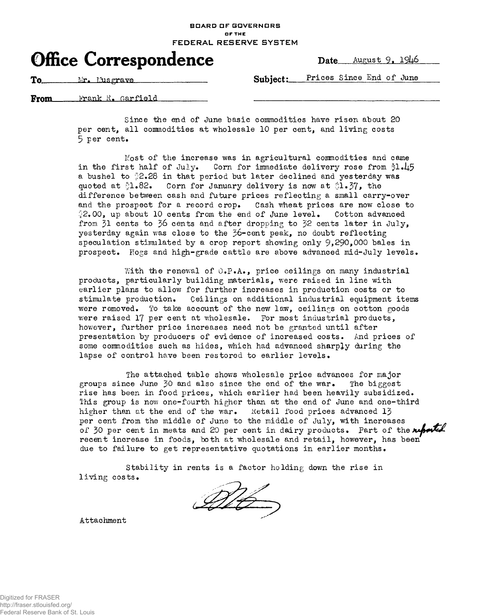## **BOARD DF GOVERNORS OF THE FEDERAL RESERVE SYSTEM**



**To** Mr. Musgrave Subject: Prices Since End of June

krank R. Garfield From<sub>—</sub>

> Since the end of June basic commodities have risen about 20 per cent, all conmodities at wholesale 10 per cent, and living costs  $5$  per cent.

Most of the increase was in agricultural commodities and came in the first half of July. Corn for immediate delivery rose from  $1.45$ a bushel to 2.28 in that period but later declined and yesterday was quoted at  $\sqrt[3]{1.82}$ . Corn for January delivery is now at  $\sqrt[3]{1.87}$ , the difference between cash and future prices reflecting a small carry-over and the prospect for a record crop. Cash wheat prices are now close to  $2.00$ , up about 10 cents from the end of June level. Cotton advanced from  $31$  cents to  $36$  cents and after dropping to  $32$  cents later in July, yesterday again was close to the 36-cent peak, no doubt reflecting speculation stimulated by a crop report showing only  $9,290,000$  bales in prospect. Hogs and high-grade cattle are above advanced mid-July levels.

With the renewal of  $0.\text{P.A.,}$  price ceilings on many industrial products, particularly building materials, were raised in line with earlier plans to allow for further increases in production costs or to stimulate production. Ceilings on additional industrial equipment items were removed. To take account of the new law, ceilings on cotton goods were raised 17 per cent at wholesale. For most industrial products, however, further price increases need not be granted until after presentation by producers of evidence of increased costs. And prices of some commodities such as hides, which had advanced sharply during the lapse of control have been restored to earlier levels.

The attached table shows wholesale price advances for major groups since June 30 and also since the end of the war. The biggest rise has been in food prices, which earlier had been heavily subsidized. This group is now one-fourth higher than at the end of June and one-third higher than at the end of the war. Ketail food prices advanced 13 per cent from the middle of June to the middle of July, with increases of 30 per cent in meats and 20 per cent in dairy products. Part of the *netel* recent increase in foods, both at wholesale and retail, however, has been due to failure to get representative quotations in earlier months.

Stability in rents is a factor holding down the rise in living costs.

Mb

Attachment